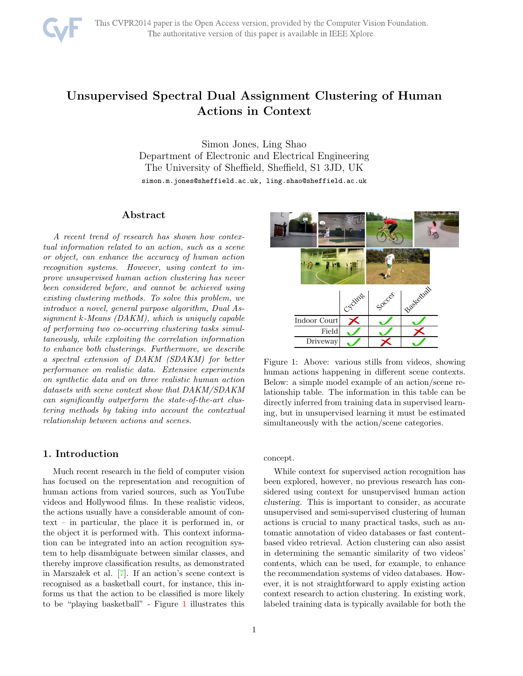

# <span id="page-0-1"></span>Unsupervised Spectral Dual Assignment Clustering of Human Actions in Context

Simon Jones, Ling Shao Department of Electronic and Electrical Engineering The University of Sheffield, Sheffield, S1 3JD, UK simon.m.jones@sheffield.ac.uk, ling.shao@sheffield.ac.uk

# Abstract

A recent trend of research has shown how contextual information related to an action, such as a scene or object, can enhance the accuracy of human action recognition systems. However, using context to improve unsupervised human action clustering has never been considered before, and cannot be achieved using existing clustering methods. To solve this problem, we introduce a novel, general purpose algorithm, Dual Assignment k-Means (DAKM), which is uniquely capable of performing two co-occurring clustering tasks simultaneously, while exploiting the correlation information to enhance both clusterings. Furthermore, we describe a spectral extension of DAKM (SDAKM) for better performance on realistic data. Extensive experiments on synthetic data and on three realistic human action datasets with scene context show that DAKM/SDAKM can significantly outperform the state-of-the-art clustering methods by taking into account the contextual relationship between actions and scenes.

# 1. Introduction

Much recent research in the field of computer vision has focused on the representation and recognition of human actions from varied sources, such as YouTube videos and Hollywood films. In these realistic videos, the actions usually have a considerable amount of context – in particular, the place it is performed in, or the object it is performed with. This context information can be integrated into an action recognition system to help disambiguate between similar classes, and thereby improve classification results, as demonstrated in Marszałek et al. [\[7\]](#page-7-0). If an action's scene context is recognised as a basketball court, for instance, this informs us that the action to be classified is more likely to be "playing basketball" - Figure [1](#page-0-0) illustrates this

<span id="page-0-0"></span>

Figure 1: Above: various stills from videos, showing human actions happening in different scene contexts. Below: a simple model example of an action/scene relationship table. The information in this table can be directly inferred from training data in supervised learning, but in unsupervised learning it must be estimated simultaneously with the action/scene categories.

concept.

While context for supervised action recognition has been explored, however, no previous research has considered using context for unsupervised human action clustering. This is important to consider, as accurate unsupervised and semi-supervised clustering of human actions is crucial to many practical tasks, such as automatic annotation of video databases or fast contentbased video retrieval. Action clustering can also assist in determining the semantic similarity of two videos' contents, which can be used, for example, to enhance the recommendation systems of video databases. However, it is not straightforward to apply existing action context research to action clustering. In existing work, labeled training data is typically available for both the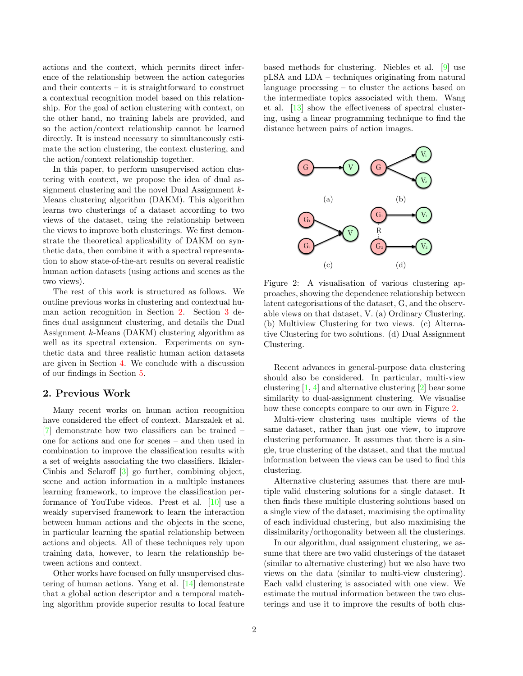<span id="page-1-2"></span>actions and the context, which permits direct inference of the relationship between the action categories and their contexts – it is straightforward to construct a contextual recognition model based on this relationship. For the goal of action clustering with context, on the other hand, no training labels are provided, and so the action/context relationship cannot be learned directly. It is instead necessary to simultaneously estimate the action clustering, the context clustering, and the action/context relationship together.

In this paper, to perform unsupervised action clustering with context, we propose the idea of dual assignment clustering and the novel Dual Assignment k-Means clustering algorithm (DAKM). This algorithm learns two clusterings of a dataset according to two views of the dataset, using the relationship between the views to improve both clusterings. We first demonstrate the theoretical applicability of DAKM on synthetic data, then combine it with a spectral representation to show state-of-the-art results on several realistic human action datasets (using actions and scenes as the two views).

The rest of this work is structured as follows. We outline previous works in clustering and contextual human action recognition in Section [2.](#page-1-0) Section [3](#page-2-0) defines dual assignment clustering, and details the Dual Assignment k-Means (DAKM) clustering algorithm as well as its spectral extension. Experiments on synthetic data and three realistic human action datasets are given in Section [4.](#page-4-0) We conclude with a discussion of our findings in Section [5.](#page-7-1)

# <span id="page-1-0"></span>2. Previous Work

Many recent works on human action recognition have considered the effect of context. Marszalek et al. [\[7\]](#page-7-0) demonstrate how two classifiers can be trained – one for actions and one for scenes – and then used in combination to improve the classification results with a set of weights associating the two classifiers. Ikizler-Cinbis and Sclaroff [\[3\]](#page-7-2) go further, combining object, scene and action information in a multiple instances learning framework, to improve the classification performance of YouTube videos. Prest et al. [\[10\]](#page-7-3) use a weakly supervised framework to learn the interaction between human actions and the objects in the scene, in particular learning the spatial relationship between actions and objects. All of these techniques rely upon training data, however, to learn the relationship between actions and context.

Other works have focused on fully unsupervised clustering of human actions. Yang et al. [\[14\]](#page-7-4) demonstrate that a global action descriptor and a temporal matching algorithm provide superior results to local feature based methods for clustering. Niebles et al. [\[9\]](#page-7-5) use pLSA and LDA – techniques originating from natural language processing – to cluster the actions based on the intermediate topics associated with them. Wang et al. [\[13\]](#page-7-6) show the effectiveness of spectral clustering, using a linear programming technique to find the distance between pairs of action images.

<span id="page-1-1"></span>

Figure 2: A visualisation of various clustering approaches, showing the dependence relationship between latent categorisations of the dataset, G, and the observable views on that dataset, V. (a) Ordinary Clustering. (b) Multiview Clustering for two views. (c) Alternative Clustering for two solutions. (d) Dual Assignment Clustering.

Recent advances in general-purpose data clustering should also be considered. In particular, multi-view clustering  $\left[1, 4\right]$  $\left[1, 4\right]$  $\left[1, 4\right]$  and alternative clustering  $\left[2\right]$  bear some similarity to dual-assignment clustering. We visualise how these concepts compare to our own in Figure [2.](#page-1-1)

Multi-view clustering uses multiple views of the same dataset, rather than just one view, to improve clustering performance. It assumes that there is a single, true clustering of the dataset, and that the mutual information between the views can be used to find this clustering.

Alternative clustering assumes that there are multiple valid clustering solutions for a single dataset. It then finds these multiple clustering solutions based on a single view of the dataset, maximising the optimality of each individual clustering, but also maximising the dissimilarity/orthogonality between all the clusterings.

In our algorithm, dual assignment clustering, we assume that there are two valid clusterings of the dataset (similar to alternative clustering) but we also have two views on the data (similar to multi-view clustering). Each valid clustering is associated with one view. We estimate the mutual information between the two clusterings and use it to improve the results of both clus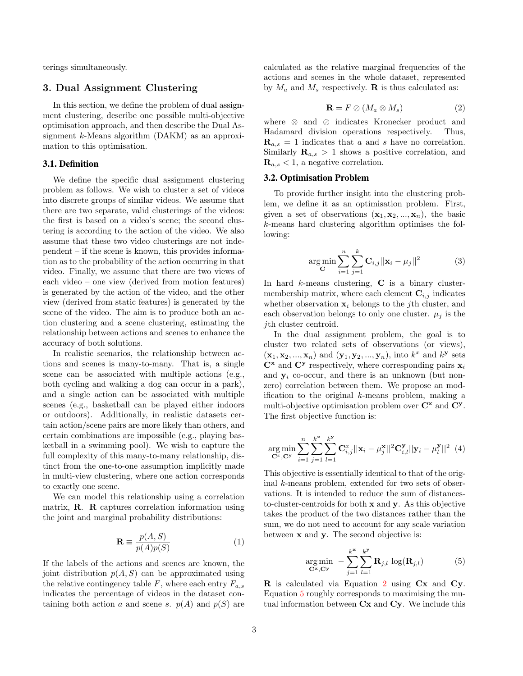terings simultaneously.

# <span id="page-2-0"></span>3. Dual Assignment Clustering

In this section, we define the problem of dual assignment clustering, describe one possible multi-objective optimisation approach, and then describe the Dual Assignment k-Means algorithm (DAKM) as an approximation to this optimisation.

## 3.1. Definition

We define the specific dual assignment clustering problem as follows. We wish to cluster a set of videos into discrete groups of similar videos. We assume that there are two separate, valid clusterings of the videos: the first is based on a video's scene; the second clustering is according to the action of the video. We also assume that these two video clusterings are not independent – if the scene is known, this provides information as to the probability of the action occurring in that video. Finally, we assume that there are two views of each video – one view (derived from motion features) is generated by the action of the video, and the other view (derived from static features) is generated by the scene of the video. The aim is to produce both an action clustering and a scene clustering, estimating the relationship between actions and scenes to enhance the accuracy of both solutions.

In realistic scenarios, the relationship between actions and scenes is many-to-many. That is, a single scene can be associated with multiple actions (e.g., both cycling and walking a dog can occur in a park), and a single action can be associated with multiple scenes (e.g., basketball can be played either indoors or outdoors). Additionally, in realistic datasets certain action/scene pairs are more likely than others, and certain combinations are impossible (e.g., playing basketball in a swimming pool). We wish to capture the full complexity of this many-to-many relationship, distinct from the one-to-one assumption implicitly made in multi-view clustering, where one action corresponds to exactly one scene.

We can model this relationship using a correlation matrix, R. R captures correlation information using the joint and marginal probability distributions:

$$
\mathbf{R} \equiv \frac{p(A, S)}{p(A)p(S)}\tag{1}
$$

If the labels of the actions and scenes are known, the joint distribution  $p(A, S)$  can be approximated using the relative contingency table  $F$ , where each entry  $F_{a,s}$ indicates the percentage of videos in the dataset containing both action a and scene s.  $p(A)$  and  $p(S)$  are

calculated as the relative marginal frequencies of the actions and scenes in the whole dataset, represented by  $M_a$  and  $M_s$  respectively. **R** is thus calculated as:

<span id="page-2-1"></span>
$$
\mathbf{R} = F \oslash (M_a \otimes M_s) \tag{2}
$$

where  $\otimes$  and  $\oslash$  indicates Kronecker product and Hadamard division operations respectively. Thus, Hadamard division operations respectively.  $\mathbf{R}_{a,s} = 1$  indicates that a and s have no correlation. Similarly  $\mathbf{R}_{a,s} > 1$  shows a positive correlation, and  $\mathbf{R}_{a,s} < 1$ , a negative correlation.

## 3.2. Optimisation Problem

To provide further insight into the clustering problem, we define it as an optimisation problem. First, given a set of observations  $(\mathbf{x}_1, \mathbf{x}_2, ..., \mathbf{x}_n)$ , the basic k-means hard clustering algorithm optimises the following:

$$
\arg\min_{\mathbf{C}} \sum_{i=1}^{n} \sum_{j=1}^{k} \mathbf{C}_{i,j} ||\mathbf{x}_{i} - \mu_{j}||^{2}
$$
 (3)

In hard  $k$ -means clustering,  $C$  is a binary clustermembership matrix, where each element  $\mathbf{C}_{i,j}$  indicates whether observation  $x_i$  belongs to the *j*th cluster, and each observation belongs to only one cluster.  $\mu_j$  is the jth cluster centroid.

In the dual assignment problem, the goal is to cluster two related sets of observations (or views),  $(\mathbf{x}_1, \mathbf{x}_2, ..., \mathbf{x}_n)$  and  $(\mathbf{y}_1, \mathbf{y}_2, ..., \mathbf{y}_n)$ , into  $k^x$  and  $k^y$  sets  $\mathbf{C}^{\mathbf{x}}$  and  $\mathbf{C}^{\mathbf{y}}$  respectively, where corresponding pairs  $\mathbf{x}_i$ and  $y_i$  co-occur, and there is an unknown (but nonzero) correlation between them. We propose an modification to the original k-means problem, making a multi-objective optimisation problem over  $C^x$  and  $C^y$ . The first objective function is:

<span id="page-2-3"></span>
$$
\underset{\mathbf{C}^{x},\mathbf{C}^{y}}{\arg \min} \sum_{i=1}^{n} \sum_{j=1}^{k^{x}} \sum_{l=1}^{k^{y}} \mathbf{C}_{i,j}^{x} ||\mathbf{x}_{i} - \mu_{j}^{x}||^{2} \mathbf{C}_{i,l}^{y} ||\mathbf{y}_{i} - \mu_{l}^{y}||^{2} \tag{4}
$$

This objective is essentially identical to that of the original k-means problem, extended for two sets of observations. It is intended to reduce the sum of distancesto-cluster-centroids for both x and y. As this objective takes the product of the two distances rather than the sum, we do not need to account for any scale variation between x and y. The second objective is:

<span id="page-2-2"></span>
$$
\underset{\mathbf{C}^{\mathbf{x}}, \mathbf{C}^{\mathbf{y}}}{\arg \min} \ - \sum_{j=1}^{k^{\mathbf{x}}} \sum_{l=1}^{k^{\mathbf{y}}} \mathbf{R}_{j,l} \, \log(\mathbf{R}_{j,l}) \tag{5}
$$

R is calculated via Equation [2](#page-2-1) using Cx and Cy. Equation [5](#page-2-2) roughly corresponds to maximising the mutual information between  $Cx$  and  $Cy$ . We include this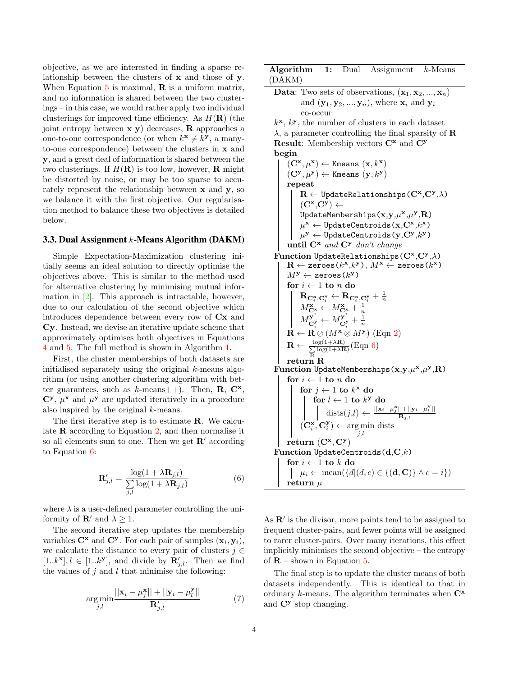<span id="page-3-2"></span>objective, as we are interested in finding a sparse relationship between the clusters of x and those of y. When Equation  $5$  is maximal,  $\bf{R}$  is a uniform matrix, and no information is shared between the two clusterings – in this case, we would rather apply two individual clusterings for improved time efficiency. As  $H(\mathbf{R})$  (the joint entropy between  $x y$  decreases, **R** approaches a one-to-one correspondence (or when  $k^{\mathbf{x}} \neq k^{\mathbf{y}}$ , a manyto-one correspondence) between the clusters in x and y, and a great deal of information is shared between the two clusterings. If  $H(\mathbf{R})$  is too low, however, **R** might be distorted by noise, or may be too sparse to accurately represent the relationship between x and y, so we balance it with the first objective. Our regularisation method to balance these two objectives is detailed below.

## 3.3. Dual Assignment k-Means Algorithm (DAKM)

Simple Expectation-Maximization clustering initially seems an ideal solution to directly optimise the objectives above. This is similar to the method used for alternative clustering by minimising mutual information in  $[2]$ . This approach is intractable, however, due to our calculation of the second objective which introduces dependence between every row of Cx and Cy. Instead, we devise an iterative update scheme that approximately optimises both objectives in Equations [4](#page-2-3) and [5.](#page-2-2) The full method is shown in Algorithm [1.](#page-3-0)

First, the cluster memberships of both datasets are initialised separately using the original k-means algorithm (or using another clustering algorithm with better guarantees, such as  $k$ -means++). Then,  $\mathbf{R}, \mathbf{C}^{\mathbf{x}}$ ,  $\mathbf{C}^{\mathbf{y}}, \mu^{\mathbf{x}}$  and  $\mu^{\mathbf{y}}$  are updated iteratively in a procedure also inspired by the original k-means.

The first iterative step is to estimate R. We calculate R according to Equation [2,](#page-2-1) and then normalise it so all elements sum to one. Then we get  $\mathbb{R}^7$  according to Equation [6:](#page-3-1)

<span id="page-3-1"></span>
$$
\mathbf{R}'_{j,l} = \frac{\log(1 + \lambda \mathbf{R}_{j,l})}{\sum\limits_{j,l} \log(1 + \lambda \mathbf{R}_{j,l})}
$$
(6)

where  $\lambda$  is a user-defined parameter controlling the uniformity of  $\mathbf{R}'$  and  $\lambda \geq 1$ .

The second iterative step updates the membership variables  $\mathbf{C}^{\mathbf{x}}$  and  $\mathbf{C}^{\mathbf{y}}$ . For each pair of samples  $(\mathbf{x}_i, \mathbf{y}_i)$ , we calculate the distance to every pair of clusters  $j \in$  $[1..k^{\mathbf{x}}], l \in [1..k^{\mathbf{y}}],$  and divide by  $\mathbf{R}'_{j,l}$ . Then we find the values of  $j$  and  $l$  that minimise the following:

$$
\underset{j,l}{\arg\min} \frac{||\mathbf{x}_i - \mu_j^{\mathbf{x}}|| + ||\mathbf{y}_i - \mu_l^{\mathbf{y}}||}{\mathbf{R}'_{j,l}} \tag{7}
$$

<span id="page-3-0"></span>

| 1:<br>Dual Assignment k-Means<br>$\rm Algorithm$                                                                                                                                                                                                                        |
|-------------------------------------------------------------------------------------------------------------------------------------------------------------------------------------------------------------------------------------------------------------------------|
| (DAKM)                                                                                                                                                                                                                                                                  |
| <b>Data:</b> Two sets of observations, $(\mathbf{x}_1, \mathbf{x}_2, , \mathbf{x}_n)$                                                                                                                                                                                   |
| and $(\mathbf{y}_1, \mathbf{y}_2, , \mathbf{y}_n)$ , where $\mathbf{x}_i$ and $\mathbf{y}_i$                                                                                                                                                                            |
| co-occur                                                                                                                                                                                                                                                                |
| $k^{\mathbf{x}}, k^{\mathbf{y}},$ the number of clusters in each dataset                                                                                                                                                                                                |
| $\lambda$ , a parameter controlling the final sparsity of <b>R</b>                                                                                                                                                                                                      |
| Result: Membership vectors $C^x$ and $C^y$                                                                                                                                                                                                                              |
| begin                                                                                                                                                                                                                                                                   |
| $(C^{\mathbf{x}}, \mu^{\mathbf{x}}) \leftarrow$ Kmeans $(\mathbf{x}, k^{\mathbf{x}})$                                                                                                                                                                                   |
| $(\mathbf{C}^{\mathbf{y}}, \mu^{\mathbf{y}}) \leftarrow$ Kmeans $(\mathbf{y}, k^{\mathbf{y}})$                                                                                                                                                                          |
| repeat<br>$\mathbf{R} \leftarrow \texttt{UpdateRelationships}(\mathbf{C}^{\mathbf{x}}, \mathbf{C}^{\mathbf{y}}, \lambda)$                                                                                                                                               |
| $(C^x,C^y) \leftarrow$                                                                                                                                                                                                                                                  |
| UpdateMemberships $(x,y,\mu^x,\mu^y,R)$                                                                                                                                                                                                                                 |
| $\mu^{\mathbf{x}} \leftarrow \texttt{UpdateCentroids}(\mathbf{x}, \mathbf{C}^{\mathbf{x}}, k^{\mathbf{x}})$                                                                                                                                                             |
| $\mu^{\mathbf{y}} \leftarrow \texttt{UpdateCentroids}(\mathbf{y}, \mathbf{C}^{\mathbf{y}}, k^{\mathbf{y}})$                                                                                                                                                             |
| until $C^x$ and $C^y$ don't change                                                                                                                                                                                                                                      |
| Function UpdateRelationships $(C^x, C^y, \lambda)$                                                                                                                                                                                                                      |
| $\mathbf{R} \leftarrow$ zeroes $(k^{\mathbf{x}}, k^{\mathbf{y}}), M^{\mathbf{x}} \leftarrow$ zeroes $(k^{\mathbf{x}})$                                                                                                                                                  |
| $M^{\mathbf{y}} \leftarrow \texttt{zeros}(k^{\mathbf{y}})$                                                                                                                                                                                                              |
| for $i \leftarrow 1$ to n do                                                                                                                                                                                                                                            |
| $\mathbf{R}_{\mathbf{C}_i^{\mathbf{x}}, \mathbf{C}_i^{\mathbf{y}}} \leftarrow \mathbf{R}_{\mathbf{C}_i^{\mathbf{x}}, \mathbf{C}_i^{\mathbf{y}}} + \frac{1}{n}$                                                                                                          |
|                                                                                                                                                                                                                                                                         |
| $\begin{array}{l} M_{\mathbf{C}_{i}^{\mathbf{x}}}^{\mathbf{x}} \leftarrow M_{\mathbf{C}_{i}^{\mathbf{x}}}^{\mathbf{x}} + \frac{1}{n} \\ M_{\mathbf{C}_{j}^{\mathbf{y}}}^{\mathbf{y}} \leftarrow M_{\mathbf{C}_{i}^{\mathbf{y}}}^{\mathbf{y}} + \frac{1}{n} \end{array}$ |
| $\mathbf{R} \leftarrow \mathbf{R} \oslash (M^{\mathbf{x}} \otimes M^{\mathbf{y}})$ (Eqn 2)                                                                                                                                                                              |
| $\mathbf{R} \leftarrow \frac{\log(1+\lambda\mathbf{R})}{\sum_{\mathbf{R}} \log(1+\lambda\mathbf{R})} (\text{Eqn } 6)$                                                                                                                                                   |
| $_{\rm return~R}$                                                                                                                                                                                                                                                       |
| Function UpdateMemberships(x,y, $\mu^x, \mu^y, R$ )                                                                                                                                                                                                                     |
| for $i \leftarrow 1$ to n do                                                                                                                                                                                                                                            |
| for $j \leftarrow 1$ to $k^{\mathbf{x}}$ do                                                                                                                                                                                                                             |
| for $l \leftarrow 1$ to $k^\mathbf{y}$ do                                                                                                                                                                                                                               |
| $\text{dists}(j,l) \leftarrow \frac{  \mathbf{x}_i - \mu^{\mathbf{x}}_j   +   \mathbf{y}_i - \mu^{\mathbf{y}}_l  }{\mathbf{R}_{j,l}}$                                                                                                                                   |
| $(\mathbf{C}^{\mathbf{x}}_{\cdot}, \mathbf{C}^{\mathbf{y}}_{\cdot}) \leftarrow \arg \min \, \text{dists}$<br>j, l                                                                                                                                                       |
| return $(C^x, C^y)$                                                                                                                                                                                                                                                     |
| Function UpdateCentroids $(d, C, k)$                                                                                                                                                                                                                                    |
| for $i \leftarrow 1$ to k do                                                                                                                                                                                                                                            |
| $\mu_i \leftarrow \text{mean}(\{d   (d, c) \in \{(\mathbf{d}, \mathbf{C})\} \land c = i\})$                                                                                                                                                                             |
| return $\mu$                                                                                                                                                                                                                                                            |

As  $\mathbb{R}'$  is the divisor, more points tend to be assigned to frequent cluster-pairs, and fewer points will be assigned to rarer cluster-pairs. Over many iterations, this effect implicitly minimises the second objective – the entropy of  $\mathbf{R}$  – shown in Equation [5.](#page-2-2)

The final step is to update the cluster means of both datasets independently. This is identical to that in ordinary k-means. The algorithm terminates when  $\mathbb{C}^{\mathbf{x}}$ and  $\mathbf{C}^{\mathbf{y}}$  stop changing.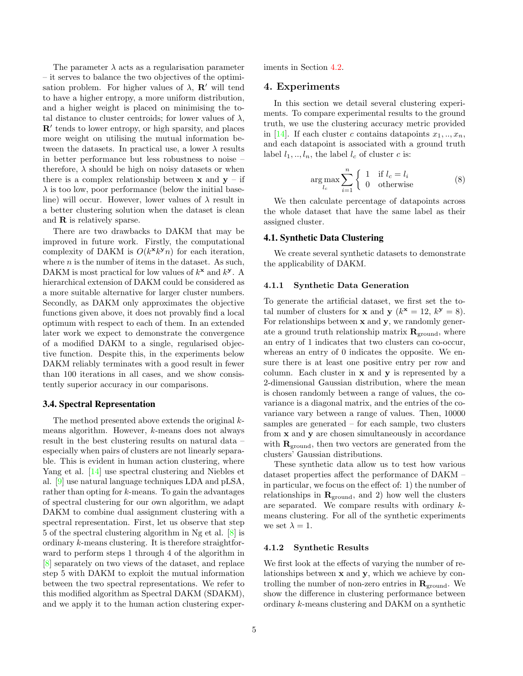<span id="page-4-1"></span>The parameter  $\lambda$  acts as a regularisation parameter – it serves to balance the two objectives of the optimisation problem. For higher values of  $\lambda$ , **R'** will tend to have a higher entropy, a more uniform distribution, and a higher weight is placed on minimising the total distance to cluster centroids; for lower values of  $\lambda$ ,  $\mathbb{R}^{\prime}$  tends to lower entropy, or high sparsity, and places more weight on utilising the mutual information between the datasets. In practical use, a lower  $\lambda$  results in better performance but less robustness to noise – therefore,  $\lambda$  should be high on noisy datasets or when there is a complex relationship between  $x$  and  $y - if$  $\lambda$  is too low, poor performance (below the initial baseline) will occur. However, lower values of  $\lambda$  result in a better clustering solution when the dataset is clean and  $\bf{R}$  is relatively sparse.

There are two drawbacks to DAKM that may be improved in future work. Firstly, the computational complexity of DAKM is  $O(k^{\mathbf{x}}k^{\mathbf{y}}n)$  for each iteration, where  $n$  is the number of items in the dataset. As such, DAKM is most practical for low values of  $k^{\mathbf{x}}$  and  $k^{\mathbf{y}}$ . A hierarchical extension of DAKM could be considered as a more suitable alternative for larger cluster numbers. Secondly, as DAKM only approximates the objective functions given above, it does not provably find a local optimum with respect to each of them. In an extended later work we expect to demonstrate the convergence of a modified DAKM to a single, regularised objective function. Despite this, in the experiments below DAKM reliably terminates with a good result in fewer than 100 iterations in all cases, and we show consistently superior accuracy in our comparisons.

## 3.4. Spectral Representation

The method presented above extends the original kmeans algorithm. However, k-means does not always result in the best clustering results on natural data – especially when pairs of clusters are not linearly separable. This is evident in human action clustering, where Yang et al. [\[14\]](#page-7-4) use spectral clustering and Niebles et al. [\[9\]](#page-7-5) use natural language techniques LDA and pLSA, rather than opting for  $k$ -means. To gain the advantages of spectral clustering for our own algorithm, we adapt DAKM to combine dual assignment clustering with a spectral representation. First, let us observe that step 5 of the spectral clustering algorithm in Ng et al. [\[8\]](#page-7-10) is ordinary k-means clustering. It is therefore straightforward to perform steps 1 through 4 of the algorithm in [\[8\]](#page-7-10) separately on two views of the dataset, and replace step 5 with DAKM to exploit the mutual information between the two spectral representations. We refer to this modified algorithm as Spectral DAKM (SDAKM), and we apply it to the human action clustering experiments in Section [4.2.](#page-5-0)

## <span id="page-4-0"></span>4. Experiments

In this section we detail several clustering experiments. To compare experimental results to the ground truth, we use the clustering accuracy metric provided in [\[14\]](#page-7-4). If each cluster c contains datapoints  $x_1, \ldots, x_n$ , and each datapoint is associated with a ground truth label  $l_1, \ldots, l_n$ , the label  $l_c$  of cluster c is:

$$
\arg\max_{l_c} \sum_{i=1}^{n} \begin{cases} 1 & \text{if } l_c = l_i \\ 0 & \text{otherwise} \end{cases}
$$
 (8)

We then calculate percentage of datapoints across the whole dataset that have the same label as their assigned cluster.

#### 4.1. Synthetic Data Clustering

We create several synthetic datasets to demonstrate the applicability of DAKM.

#### 4.1.1 Synthetic Data Generation

To generate the artificial dataset, we first set the total number of clusters for **x** and **y**  $(k^x = 12, k^y = 8)$ . For relationships between  $x$  and  $y$ , we randomly generate a ground truth relationship matrix  $\mathbf{R}_{ground}$ , where an entry of 1 indicates that two clusters can co-occur, whereas an entry of 0 indicates the opposite. We ensure there is at least one positive entry per row and column. Each cluster in x and y is represented by a 2-dimensional Gaussian distribution, where the mean is chosen randomly between a range of values, the covariance is a diagonal matrix, and the entries of the covariance vary between a range of values. Then, 10000 samples are generated – for each sample, two clusters from x and y are chosen simultaneously in accordance with  $\mathbf{R}_{ground}$ , then two vectors are generated from the clusters' Gaussian distributions.

These synthetic data allow us to test how various dataset properties affect the performance of DAKM – in particular, we focus on the effect of: 1) the number of relationships in  $\mathbf{R}_{\text{ground}}$ , and 2) how well the clusters are separated. We compare results with ordinary kmeans clustering. For all of the synthetic experiments we set  $\lambda = 1$ .

#### 4.1.2 Synthetic Results

We first look at the effects of varying the number of relationships between  $x$  and  $y$ , which we achieve by controlling the number of non-zero entries in  $\mathbf{R}_{ground}$ . We show the difference in clustering performance between ordinary k-means clustering and DAKM on a synthetic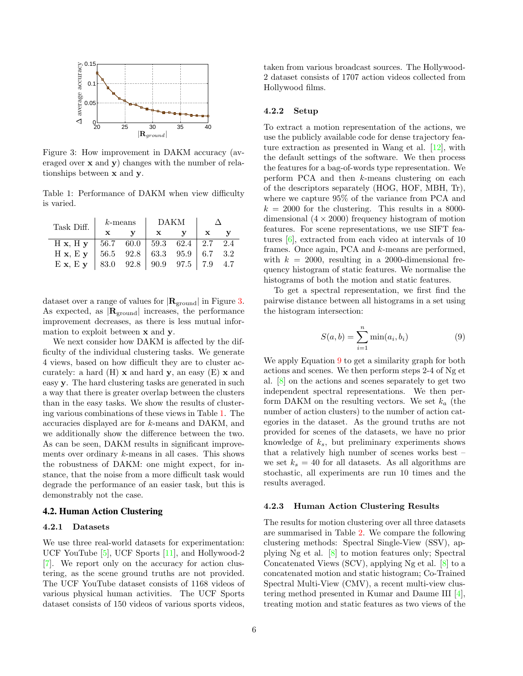<span id="page-5-4"></span><span id="page-5-1"></span>

Figure 3: How improvement in DAKM accuracy (averaged over  $x$  and  $y$ ) changes with the number of relationships between x and y.

<span id="page-5-2"></span>Table 1: Performance of DAKM when view difficulty is varied.

| Task Diff.                   | $k$ -means                                                                                           |  | l DAKM       |  |  |  |
|------------------------------|------------------------------------------------------------------------------------------------------|--|--------------|--|--|--|
|                              |                                                                                                      |  | $\mathbf{x}$ |  |  |  |
| $H \times H V$               | $\begin{array}{ c c c c c c c c c } \hline 56.7 & 60.0 & 59.3 & 62.4 & 2.7 & 2.4 \hline \end{array}$ |  |              |  |  |  |
| $H \times E$                 | 56.5 92.8   63.3 95.9   6.7 3.2                                                                      |  |              |  |  |  |
| $E \mathbf{x}, E \mathbf{y}$ | 83.0 92.8   90.9 97.5   7.9 4.7                                                                      |  |              |  |  |  |

dataset over a range of values for  $|\mathbf{R}_{\text{ground}}|$  in Figure [3.](#page-5-1) As expected, as  $|\mathbf{R}_{\text{ground}}|$  increases, the performance improvement decreases, as there is less mutual information to exploit between x and y.

We next consider how DAKM is affected by the difficulty of the individual clustering tasks. We generate 4 views, based on how difficult they are to cluster accurately: a hard  $(H)$  x and hard y, an easy  $(E)$  x and easy y. The hard clustering tasks are generated in such a way that there is greater overlap between the clusters than in the easy tasks. We show the results of clustering various combinations of these views in Table [1.](#page-5-2) The accuracies displayed are for k-means and DAKM, and we additionally show the difference between the two. As can be seen, DAKM results in significant improvements over ordinary k-means in all cases. This shows the robustness of DAKM: one might expect, for instance, that the noise from a more difficult task would degrade the performance of an easier task, but this is demonstrably not the case.

#### <span id="page-5-0"></span>4.2. Human Action Clustering

#### 4.2.1 Datasets

We use three real-world datasets for experimentation: UCF YouTube [\[5\]](#page-7-11), UCF Sports [\[11\]](#page-7-12), and Hollywood-2 [\[7\]](#page-7-0). We report only on the accuracy for action clustering, as the scene ground truths are not provided. The UCF YouTube dataset consists of 1168 videos of various physical human activities. The UCF Sports dataset consists of 150 videos of various sports videos,

taken from various broadcast sources. The Hollywood-2 dataset consists of 1707 action videos collected from Hollywood films.

### 4.2.2 Setup

To extract a motion representation of the actions, we use the publicly available code for dense trajectory feature extraction as presented in Wang et al. [\[12\]](#page-7-13), with the default settings of the software. We then process the features for a bag-of-words type representation. We perform PCA and then k-means clustering on each of the descriptors separately (HOG, HOF, MBH, Tr), where we capture 95% of the variance from PCA and  $k = 2000$  for the clustering. This results in a 8000dimensional  $(4 \times 2000)$  frequency histogram of motion features. For scene representations, we use SIFT features [\[6\]](#page-7-14), extracted from each video at intervals of 10 frames. Once again, PCA and k-means are performed, with  $k = 2000$ , resulting in a 2000-dimensional frequency histogram of static features. We normalise the histograms of both the motion and static features.

To get a spectral representation, we first find the pairwise distance between all histograms in a set using the histogram intersection:

<span id="page-5-3"></span>
$$
S(a, b) = \sum_{i=1}^{n} \min(a_i, b_i)
$$
 (9)

We apply Equation [9](#page-5-3) to get a similarity graph for both actions and scenes. We then perform steps 2-4 of Ng et al. [\[8\]](#page-7-10) on the actions and scenes separately to get two independent spectral representations. We then perform DAKM on the resulting vectors. We set  $k_a$  (the number of action clusters) to the number of action categories in the dataset. As the ground truths are not provided for scenes of the datasets, we have no prior knowledge of  $k_s$ , but preliminary experiments shows that a relatively high number of scenes works best – we set  $k_s = 40$  for all datasets. As all algorithms are stochastic, all experiments are run 10 times and the results averaged.

#### 4.2.3 Human Action Clustering Results

The results for motion clustering over all three datasets are summarised in Table [2.](#page-6-0) We compare the following clustering methods: Spectral Single-View (SSV), applying Ng et al. [\[8\]](#page-7-10) to motion features only; Spectral Concatenated Views (SCV), applying Ng et al. [\[8\]](#page-7-10) to a concatenated motion and static histogram; Co-Trained Spectral Multi-View (CMV), a recent multi-view clustering method presented in Kumar and Daume III [\[4\]](#page-7-8), treating motion and static features as two views of the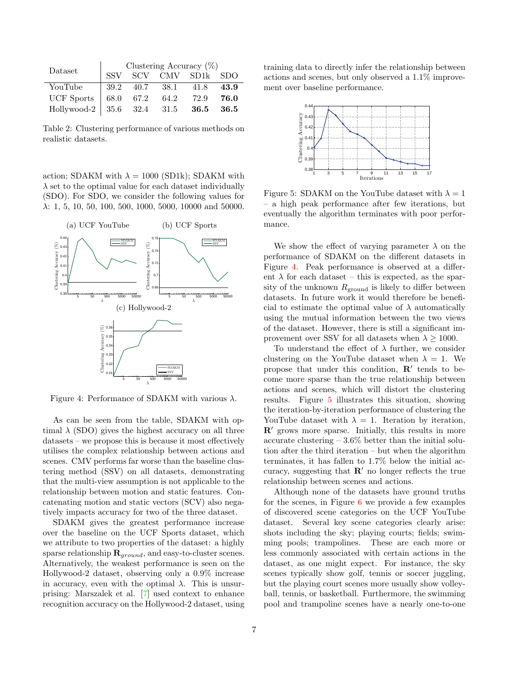<span id="page-6-3"></span><span id="page-6-0"></span>

| Dataset                           | Clustering Accuracy $(\%)$ |  |                                                                |      |      |  |  |
|-----------------------------------|----------------------------|--|----------------------------------------------------------------|------|------|--|--|
|                                   |                            |  | SSV SCV CMV SD1k SDO                                           |      |      |  |  |
| YouTube                           |                            |  | $\begin{array}{cccc} \n39.2 & 40.7 & 38.1 & 41.8\n\end{array}$ |      | 43.9 |  |  |
| UCF Sports   $68.0$ $67.2$ $64.2$ |                            |  |                                                                | 72.9 | 76.0 |  |  |
| Hollywood-2   $35.6$ 32.4 31.5    |                            |  |                                                                | 36.5 | 36.5 |  |  |

Table 2: Clustering performance of various methods on realistic datasets.

action; SDAKM with  $\lambda = 1000$  (SD1k); SDAKM with  $\lambda$  set to the optimal value for each dataset individually (SDO). For SDO, we consider the following values for  $\lambda$ : 1, 5, 10, 50, 100, 500, 1000, 5000, 10000 and 50000.

<span id="page-6-1"></span>

Figure 4: Performance of SDAKM with various  $\lambda$ .

As can be seen from the table, SDAKM with optimal  $\lambda$  (SDO) gives the highest accuracy on all three datasets – we propose this is because it most effectively utilises the complex relationship between actions and scenes. CMV performs far worse than the baseline clustering method (SSV) on all datasets, demonstrating that the multi-view assumption is not applicable to the relationship between motion and static features. Concatenating motion and static vectors (SCV) also negatively impacts accuracy for two of the three dataset.

SDAKM gives the greatest performance increase over the baseline on the UCF Sports dataset, which we attribute to two properties of the dataset: a highly sparse relationship  $\mathbf{R}_{ground}$ , and easy-to-cluster scenes. Alternatively, the weakest performance is seen on the Hollywood-2 dataset, observing only a 0.9% increase in accuracy, even with the optimal  $\lambda$ . This is unsurprising: Marszalek et al. [\[7\]](#page-7-0) used context to enhance recognition accuracy on the Hollywood-2 dataset, using training data to directly infer the relationship between actions and scenes, but only observed a 1.1% improvement over baseline performance.

<span id="page-6-2"></span>

Figure 5: SDAKM on the YouTube dataset with  $\lambda = 1$ – a high peak performance after few iterations, but eventually the algorithm terminates with poor performance.

We show the effect of varying parameter  $\lambda$  on the performance of SDAKM on the different datasets in Figure [4.](#page-6-1) Peak performance is observed at a different  $\lambda$  for each dataset – this is expected, as the sparsity of the unknown  $R_{\text{ground}}$  is likely to differ between datasets. In future work it would therefore be beneficial to estimate the optimal value of  $\lambda$  automatically using the mutual information between the two views of the dataset. However, there is still a significant improvement over SSV for all datasets when  $\lambda \geq 1000$ .

To understand the effect of  $\lambda$  further, we consider clustering on the YouTube dataset when  $\lambda = 1$ . We propose that under this condition,  $\mathbb{R}'$  tends to become more sparse than the true relationship between actions and scenes, which will distort the clustering results. Figure [5](#page-6-2) illustrates this situation, showing the iteration-by-iteration performance of clustering the YouTube dataset with  $\lambda = 1$ . Iteration by iteration,  $\mathbb{R}^{\prime}$  grows more sparse. Initially, this results in more accurate clustering  $-3.6\%$  better than the initial solution after the third iteration – but when the algorithm terminates, it has fallen to 1.7% below the initial accuracy, suggesting that  $\mathbb{R}^{\prime}$  no longer reflects the true relationship between scenes and actions.

Although none of the datasets have ground truths for the scenes, in Figure  $6$  we provide a few examples of discovered scene categories on the UCF YouTube dataset. Several key scene categories clearly arise: shots including the sky; playing courts; fields; swimming pools; trampolines. These are each more or less commonly associated with certain actions in the dataset, as one might expect. For instance, the sky scenes typically show golf, tennis or soccer juggling, but the playing court scenes more usually show volleyball, tennis, or basketball. Furthermore, the swimming pool and trampoline scenes have a nearly one-to-one